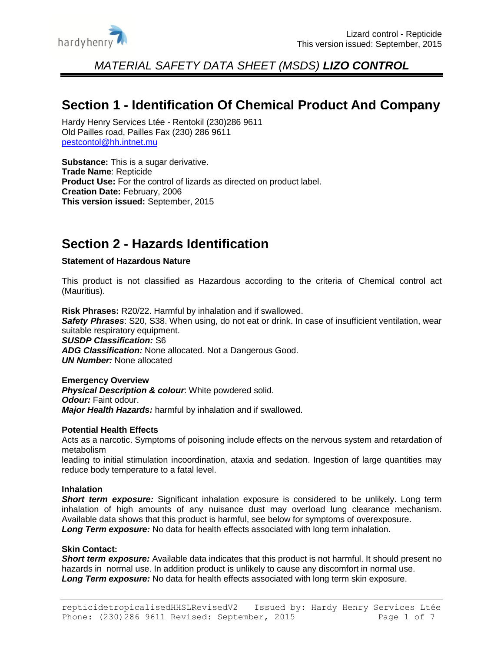

## **Section 1 - Identification Of Chemical Product And Company**

Hardy Henry Services Ltée - Rentokil (230)286 9611 Old Pailles road, Pailles Fax (230) 286 9611 [pestcontol@hh.intnet.mu](mailto:pestcontol@hh.intnet.mu)

**Substance:** This is a sugar derivative. **Trade Name**: Repticide **Product Use:** For the control of lizards as directed on product label. **Creation Date:** February, 2006 **This version issued:** September, 2015

# **Section 2 - Hazards Identification**

#### **Statement of Hazardous Nature**

This product is not classified as Hazardous according to the criteria of Chemical control act (Mauritius).

**Risk Phrases:** R20/22. Harmful by inhalation and if swallowed. *Safety Phrases*: S20, S38. When using, do not eat or drink. In case of insufficient ventilation, wear suitable respiratory equipment. *SUSDP Classification:* S6

*ADG Classification:* None allocated. Not a Dangerous Good. *UN Number:* None allocated

#### **Emergency Overview**

**Physical Description & colour:** White powdered solid. *Odour:* Faint odour. *Major Health Hazards:* harmful by inhalation and if swallowed.

#### **Potential Health Effects**

Acts as a narcotic. Symptoms of poisoning include effects on the nervous system and retardation of metabolism

leading to initial stimulation incoordination, ataxia and sedation. Ingestion of large quantities may reduce body temperature to a fatal level.

#### **Inhalation**

**Short term exposure:** Significant inhalation exposure is considered to be unlikely. Long term inhalation of high amounts of any nuisance dust may overload lung clearance mechanism. Available data shows that this product is harmful, see below for symptoms of overexposure. *Long Term exposure:* No data for health effects associated with long term inhalation.

#### **Skin Contact:**

*Short term exposure:* Available data indicates that this product is not harmful. It should present no hazards in normal use. In addition product is unlikely to cause any discomfort in normal use. *Long Term exposure:* No data for health effects associated with long term skin exposure.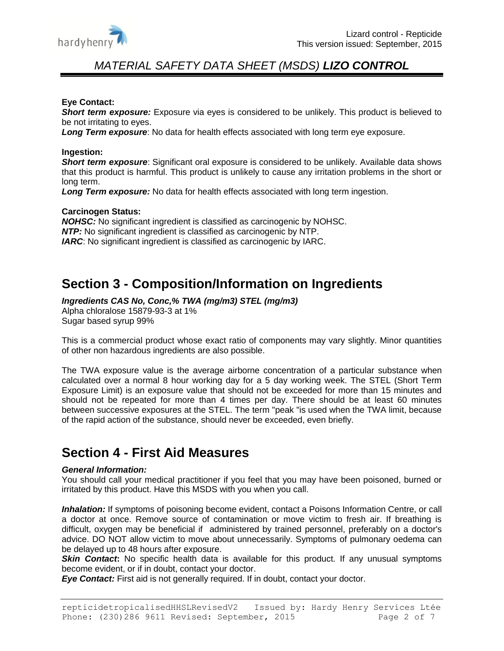

#### **Eye Contact:**

**Short term exposure:** Exposure via eyes is considered to be unlikely. This product is believed to be not irritating to eyes.

*Long Term exposure*: No data for health effects associated with long term eye exposure.

#### **Ingestion:**

**Short term exposure**: Significant oral exposure is considered to be unlikely. Available data shows that this product is harmful. This product is unlikely to cause any irritation problems in the short or long term.

*Long Term exposure:* No data for health effects associated with long term ingestion.

#### **Carcinogen Status:**

*NOHSC:* No significant ingredient is classified as carcinogenic by NOHSC. *NTP:* No significant ingredient is classified as carcinogenic by NTP. *IARC*: No significant ingredient is classified as carcinogenic by IARC.

## **Section 3 - Composition/Information on Ingredients**

*Ingredients CAS No, Conc,% TWA (mg/m3) STEL (mg/m3)*  Alpha chloralose 15879-93-3 at 1%

Sugar based syrup 99%

This is a commercial product whose exact ratio of components may vary slightly. Minor quantities of other non hazardous ingredients are also possible.

The TWA exposure value is the average airborne concentration of a particular substance when calculated over a normal 8 hour working day for a 5 day working week. The STEL (Short Term Exposure Limit) is an exposure value that should not be exceeded for more than 15 minutes and should not be repeated for more than 4 times per day. There should be at least 60 minutes between successive exposures at the STEL. The term "peak "is used when the TWA limit, because of the rapid action of the substance, should never be exceeded, even briefly.

### **Section 4 - First Aid Measures**

#### *General Information:*

You should call your medical practitioner if you feel that you may have been poisoned, burned or irritated by this product. Have this MSDS with you when you call.

*Inhalation:* If symptoms of poisoning become evident, contact a Poisons Information Centre, or call a doctor at once. Remove source of contamination or move victim to fresh air. If breathing is difficult, oxygen may be beneficial if administered by trained personnel, preferably on a doctor's advice. DO NOT allow victim to move about unnecessarily. Symptoms of pulmonary oedema can be delayed up to 48 hours after exposure.

**Skin Contact:** No specific health data is available for this product. If any unusual symptoms become evident, or if in doubt, contact your doctor.

*Eye Contact:* First aid is not generally required. If in doubt, contact your doctor.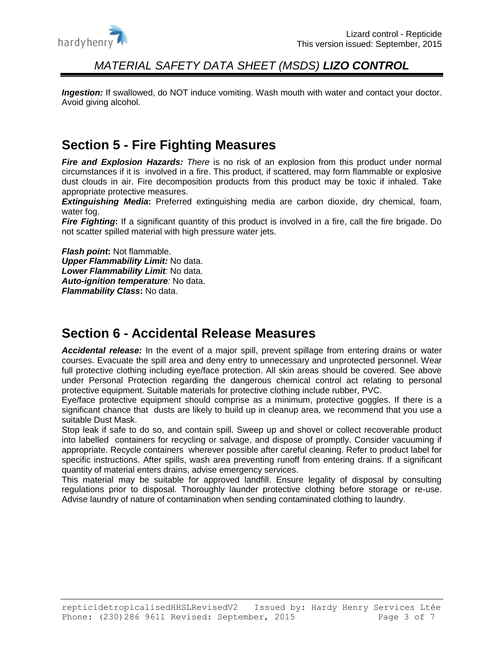

**Ingestion:** If swallowed, do NOT induce vomiting. Wash mouth with water and contact your doctor. Avoid giving alcohol.

# **Section 5 - Fire Fighting Measures**

*Fire and Explosion Hazards: There* is no risk of an explosion from this product under normal circumstances if it is involved in a fire. This product, if scattered, may form flammable or explosive dust clouds in air. Fire decomposition products from this product may be toxic if inhaled. Take appropriate protective measures.

*Extinguishing Media***:** Preferred extinguishing media are carbon dioxide, dry chemical, foam, water fog.

*Fire Fighting***:** If a significant quantity of this product is involved in a fire, call the fire brigade. Do not scatter spilled material with high pressure water jets.

*Flash point***:** Not flammable. *Upper Flammability Limit:* No data. *Lower Flammability Limit:* No data. *Auto-ignition temperature:* No data. *Flammability Class***:** No data.

### **Section 6 - Accidental Release Measures**

*Accidental release:* In the event of a major spill, prevent spillage from entering drains or water courses. Evacuate the spill area and deny entry to unnecessary and unprotected personnel. Wear full protective clothing including eye/face protection. All skin areas should be covered. See above under Personal Protection regarding the dangerous chemical control act relating to personal protective equipment. Suitable materials for protective clothing include rubber, PVC.

Eye/face protective equipment should comprise as a minimum, protective goggles. If there is a significant chance that dusts are likely to build up in cleanup area, we recommend that you use a suitable Dust Mask.

Stop leak if safe to do so, and contain spill. Sweep up and shovel or collect recoverable product into labelled containers for recycling or salvage, and dispose of promptly. Consider vacuuming if appropriate. Recycle containers wherever possible after careful cleaning. Refer to product label for specific instructions. After spills, wash area preventing runoff from entering drains. If a significant quantity of material enters drains, advise emergency services.

This material may be suitable for approved landfill. Ensure legality of disposal by consulting regulations prior to disposal. Thoroughly launder protective clothing before storage or re-use. Advise laundry of nature of contamination when sending contaminated clothing to laundry.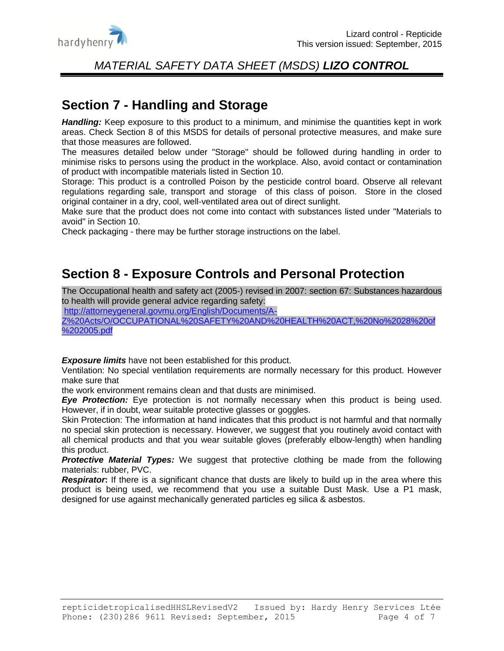

### **Section 7 - Handling and Storage**

Handling: Keep exposure to this product to a minimum, and minimise the quantities kept in work areas. Check Section 8 of this MSDS for details of personal protective measures, and make sure that those measures are followed.

The measures detailed below under "Storage" should be followed during handling in order to minimise risks to persons using the product in the workplace. Also, avoid contact or contamination of product with incompatible materials listed in Section 10.

Storage: This product is a controlled Poison by the pesticide control board. Observe all relevant regulations regarding sale, transport and storage of this class of poison. Store in the closed original container in a dry, cool, well-ventilated area out of direct sunlight.

Make sure that the product does not come into contact with substances listed under "Materials to avoid" in Section 10.

Check packaging - there may be further storage instructions on the label.

## **Section 8 - Exposure Controls and Personal Protection**

The Occupational health and safety act (2005-) revised in 2007: section 67: Substances hazardous to health will provide general advice regarding safety:

[http://attorneygeneral.govmu.org/English/Documents/A-](http://attorneygeneral.govmu.org/English/Documents/A-Z%20Acts/O/OCCUPATIONAL%20SAFETY%20AND%20HEALTH%20ACT,%20No%2028%20of%202005.pdf)

[Z%20Acts/O/OCCUPATIONAL%20SAFETY%20AND%20HEALTH%20ACT,%20No%2028%20of](http://attorneygeneral.govmu.org/English/Documents/A-Z%20Acts/O/OCCUPATIONAL%20SAFETY%20AND%20HEALTH%20ACT,%20No%2028%20of%202005.pdf) [%202005.pdf](http://attorneygeneral.govmu.org/English/Documents/A-Z%20Acts/O/OCCUPATIONAL%20SAFETY%20AND%20HEALTH%20ACT,%20No%2028%20of%202005.pdf)

*Exposure limits* have not been established for this product.

Ventilation: No special ventilation requirements are normally necessary for this product. However make sure that

the work environment remains clean and that dusts are minimised.

*Eye Protection:* Eye protection is not normally necessary when this product is being used. However, if in doubt, wear suitable protective glasses or goggles.

Skin Protection: The information at hand indicates that this product is not harmful and that normally no special skin protection is necessary. However, we suggest that you routinely avoid contact with all chemical products and that you wear suitable gloves (preferably elbow-length) when handling this product.

**Protective Material Types:** We suggest that protective clothing be made from the following materials: rubber, PVC.

**Respirator:** If there is a significant chance that dusts are likely to build up in the area where this product is being used, we recommend that you use a suitable Dust Mask. Use a P1 mask, designed for use against mechanically generated particles eg silica & asbestos.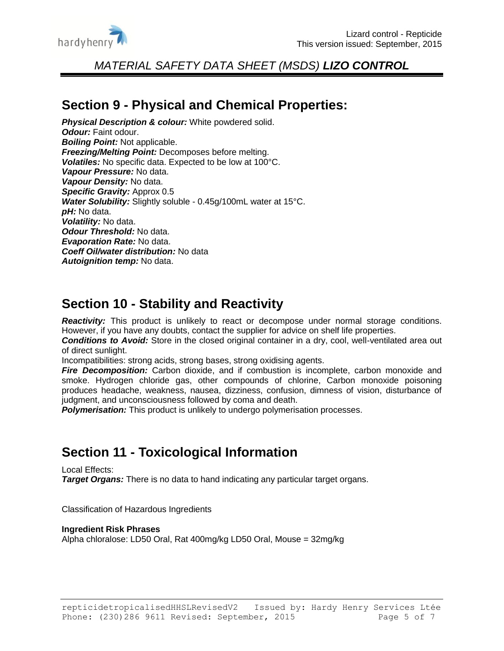

### **Section 9 - Physical and Chemical Properties:**

**Physical Description & colour:** White powdered solid. *Odour:* Faint odour. *Boiling Point:* Not applicable. *Freezing/Melting Point:* Decomposes before melting. *Volatiles:* No specific data. Expected to be low at 100°C. *Vapour Pressure:* No data. *Vapour Density:* No data. *Specific Gravity:* Approx 0.5 *Water Solubility:* Slightly soluble - 0.45g/100mL water at 15°C. *pH:* No data. *Volatility:* No data. *Odour Threshold:* No data. *Evaporation Rate:* No data. *Coeff Oil/water distribution:* No data *Autoignition temp:* No data.

## **Section 10 - Stability and Reactivity**

*Reactivity:* This product is unlikely to react or decompose under normal storage conditions. However, if you have any doubts, contact the supplier for advice on shelf life properties.

*Conditions to Avoid:* Store in the closed original container in a dry, cool, well-ventilated area out of direct sunlight.

Incompatibilities: strong acids, strong bases, strong oxidising agents.

**Fire Decomposition:** Carbon dioxide, and if combustion is incomplete, carbon monoxide and smoke. Hydrogen chloride gas, other compounds of chlorine, Carbon monoxide poisoning produces headache, weakness, nausea, dizziness, confusion, dimness of vision, disturbance of judgment, and unconsciousness followed by coma and death.

*Polymerisation:* This product is unlikely to undergo polymerisation processes.

# **Section 11 - Toxicological Information**

Local Effects:

*Target Organs:* There is no data to hand indicating any particular target organs.

Classification of Hazardous Ingredients

#### **Ingredient Risk Phrases**

Alpha chloralose: LD50 Oral, Rat 400mg/kg LD50 Oral, Mouse = 32mg/kg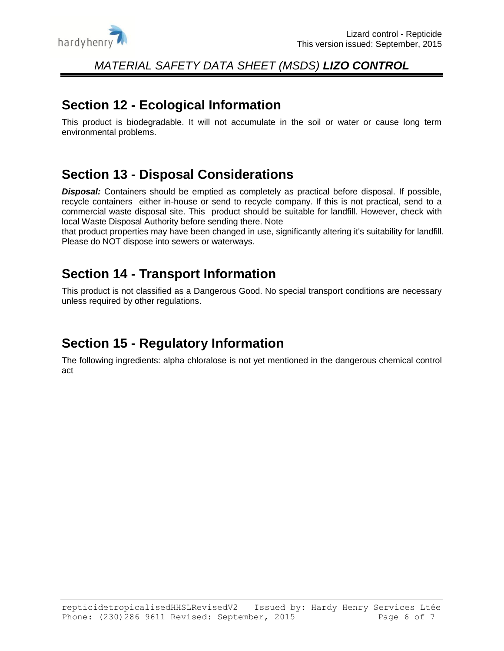

### **Section 12 - Ecological Information**

This product is biodegradable. It will not accumulate in the soil or water or cause long term environmental problems.

# **Section 13 - Disposal Considerations**

**Disposal:** Containers should be emptied as completely as practical before disposal. If possible, recycle containers either in-house or send to recycle company. If this is not practical, send to a commercial waste disposal site. This product should be suitable for landfill. However, check with local Waste Disposal Authority before sending there. Note

that product properties may have been changed in use, significantly altering it's suitability for landfill. Please do NOT dispose into sewers or waterways.

## **Section 14 - Transport Information**

This product is not classified as a Dangerous Good. No special transport conditions are necessary unless required by other regulations.

# **Section 15 - Regulatory Information**

The following ingredients: alpha chloralose is not yet mentioned in the dangerous chemical control act